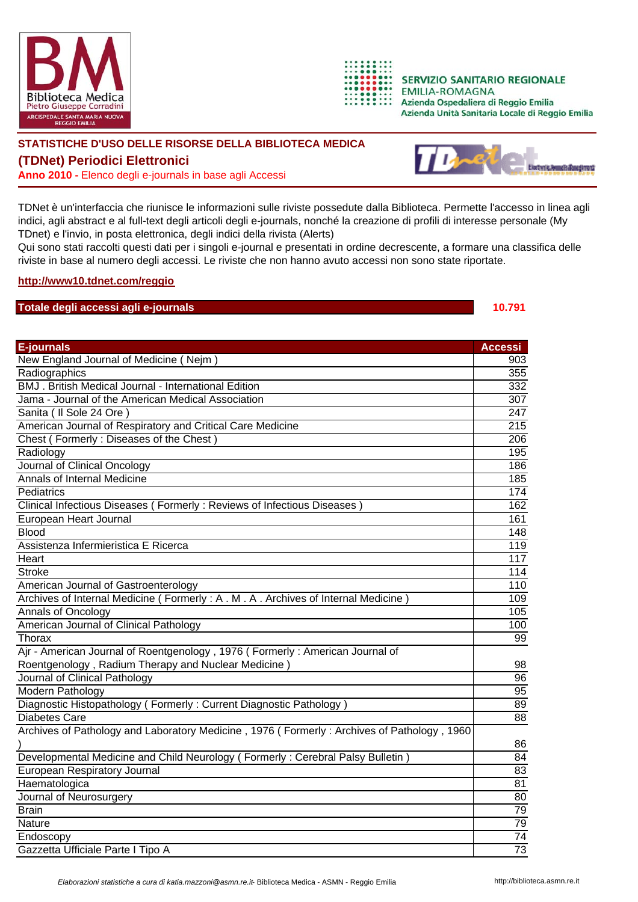



**SERVIZIO SANITARIO REGIONALE EMILIA-ROMAGNA** Azienda Ospedaliera di Reggio Emilia Azienda Unità Sanitaria Locale di Reggio Emilia

## **STATISTICHE D'USO DELLE RISORSE DELLA BIBLIOTECA MEDICA**

**(TDNet) Periodici Elettronici**

**Anno 2010 -** Elenco degli e-journals in base agli Accessi



TDNet è un'interfaccia che riunisce le informazioni sulle riviste possedute dalla Biblioteca. Permette l'accesso in linea agli indici, agli abstract e al full-text degli articoli degli e-journals, nonché la creazione di profili di interesse personale (My TDnet) e l'invio, in posta elettronica, degli indici della rivista (Alerts)

Qui sono stati raccolti questi dati per i singoli e-journal e presentati in ordine decrescente, a formare una classifica delle riviste in base al numero degli accessi. Le riviste che non hanno avuto accessi non sono state riportate.

## **http://www10.tdnet.com/reggio**

## **Totale degli accessi agli e-journals 10.791**

| <b>E-journals</b>                                                                           | <b>Accessi</b>   |
|---------------------------------------------------------------------------------------------|------------------|
| New England Journal of Medicine (Nejm)                                                      | 903              |
| Radiographics                                                                               | 355              |
| BMJ. British Medical Journal - International Edition                                        | 332              |
| Jama - Journal of the American Medical Association                                          | $\overline{307}$ |
| Sanita ( Il Sole 24 Ore )                                                                   | $\sqrt{247}$     |
| American Journal of Respiratory and Critical Care Medicine                                  | $\overline{215}$ |
| Chest (Formerly: Diseases of the Chest)                                                     | 206              |
| Radiology                                                                                   | 195              |
| Journal of Clinical Oncology                                                                | 186              |
| Annals of Internal Medicine                                                                 | 185              |
| Pediatrics                                                                                  | $\overline{174}$ |
| Clinical Infectious Diseases (Formerly: Reviews of Infectious Diseases)                     | 162              |
| European Heart Journal                                                                      | 161              |
| <b>Blood</b>                                                                                | 148              |
| Assistenza Infermieristica E Ricerca                                                        | $\overline{119}$ |
| Heart                                                                                       | 117              |
| <b>Stroke</b>                                                                               | 114              |
| American Journal of Gastroenterology                                                        | $\overline{110}$ |
| Archives of Internal Medicine (Formerly: A. M. A. Archives of Internal Medicine)            | 109              |
| Annals of Oncology                                                                          | 105              |
| American Journal of Clinical Pathology                                                      | 100              |
| Thorax                                                                                      | $\overline{99}$  |
| Ajr - American Journal of Roentgenology, 1976 (Formerly: American Journal of                |                  |
| Roentgenology, Radium Therapy and Nuclear Medicine                                          | 98               |
| Journal of Clinical Pathology                                                               | $\overline{96}$  |
| Modern Pathology                                                                            | $\overline{95}$  |
| Diagnostic Histopathology (Formerly: Current Diagnostic Pathology)                          | 89               |
| <b>Diabetes Care</b>                                                                        | $\overline{88}$  |
| Archives of Pathology and Laboratory Medicine, 1976 (Formerly: Archives of Pathology, 1960) |                  |
|                                                                                             | 86               |
| Developmental Medicine and Child Neurology (Formerly: Cerebral Palsy Bulletin               | 84               |
| European Respiratory Journal                                                                | 83               |
| Haematologica                                                                               | 81               |
| Journal of Neurosurgery                                                                     | 80               |
| <b>Brain</b>                                                                                | 79               |
| Nature                                                                                      | 79               |
| Endoscopy                                                                                   | 74               |
| Gazzetta Ufficiale Parte I Tipo A                                                           | 73               |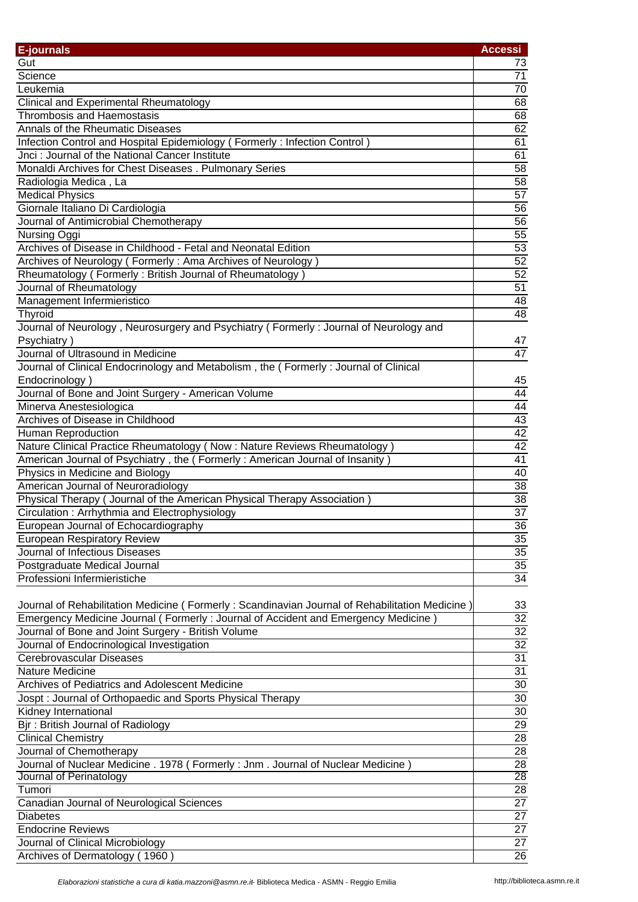| <b>E-journals</b>                                                                              | <b>Accessi</b>  |
|------------------------------------------------------------------------------------------------|-----------------|
| Gut                                                                                            | 73              |
| Science                                                                                        | 71              |
| Leukemia                                                                                       | $\overline{70}$ |
| <b>Clinical and Experimental Rheumatology</b>                                                  | 68              |
| <b>Thrombosis and Haemostasis</b>                                                              | 68              |
| Annals of the Rheumatic Diseases                                                               | 62              |
| Infection Control and Hospital Epidemiology (Formerly: Infection Control)                      | 61              |
| Jnci: Journal of the National Cancer Institute                                                 | 61              |
| Monaldi Archives for Chest Diseases . Pulmonary Series                                         | 58              |
| Radiologia Medica, La                                                                          | $\overline{58}$ |
| <b>Medical Physics</b>                                                                         | 57              |
| Giornale Italiano Di Cardiologia                                                               | 56              |
| Journal of Antimicrobial Chemotherapy                                                          | 56              |
| Nursing Oggi                                                                                   | 55              |
| Archives of Disease in Childhood - Fetal and Neonatal Edition                                  | 53              |
| Archives of Neurology (Formerly: Ama Archives of Neurology)                                    | 52              |
| Rheumatology (Formerly: British Journal of Rheumatology)                                       | 52              |
| Journal of Rheumatology                                                                        | $\overline{51}$ |
| Management Infermieristico                                                                     | 48              |
| Thyroid                                                                                        | 48              |
| Journal of Neurology, Neurosurgery and Psychiatry (Formerly: Journal of Neurology and          |                 |
| Psychiatry)                                                                                    |                 |
| Journal of Ultrasound in Medicine                                                              | 47<br>47        |
|                                                                                                |                 |
| Journal of Clinical Endocrinology and Metabolism, the (Formerly: Journal of Clinical           |                 |
| Endocrinology)                                                                                 | 45              |
| Journal of Bone and Joint Surgery - American Volume                                            | 44              |
| Minerva Anestesiologica                                                                        | $\overline{44}$ |
| Archives of Disease in Childhood                                                               | 43              |
| Human Reproduction                                                                             | 42              |
| Nature Clinical Practice Rheumatology (Now: Nature Reviews Rheumatology)                       | 42              |
| American Journal of Psychiatry, the (Formerly: American Journal of Insanity)                   | 41              |
| Physics in Medicine and Biology                                                                | 40              |
| American Journal of Neuroradiology                                                             | $\overline{38}$ |
| Physical Therapy (Journal of the American Physical Therapy Association)                        | 38              |
| Circulation: Arrhythmia and Electrophysiology                                                  | $\overline{37}$ |
| European Journal of Echocardiography                                                           | 36              |
| <b>European Respiratory Review</b>                                                             | $\overline{35}$ |
| Journal of Infectious Diseases                                                                 | $\overline{35}$ |
| Postgraduate Medical Journal                                                                   | $\overline{35}$ |
| Professioni Infermieristiche                                                                   | $\overline{34}$ |
|                                                                                                |                 |
| Journal of Rehabilitation Medicine (Formerly: Scandinavian Journal of Rehabilitation Medicine) | 33              |
| Emergency Medicine Journal (Formerly: Journal of Accident and Emergency Medicine)              | $\overline{32}$ |
| Journal of Bone and Joint Surgery - British Volume                                             | $\overline{32}$ |
| Journal of Endocrinological Investigation                                                      | $\overline{32}$ |
| Cerebrovascular Diseases                                                                       | 31              |
| Nature Medicine                                                                                | 31              |
| Archives of Pediatrics and Adolescent Medicine                                                 | 30              |
| Jospt: Journal of Orthopaedic and Sports Physical Therapy                                      | 30              |
| Kidney International                                                                           | 30              |
| Bjr: British Journal of Radiology                                                              | 29              |
| <b>Clinical Chemistry</b>                                                                      | 28              |
| Journal of Chemotherapy                                                                        | $\overline{28}$ |
| Journal of Nuclear Medicine . 1978 ( Formerly : Jnm . Journal of Nuclear Medicine )            | 28              |
| Journal of Perinatology                                                                        | $\overline{28}$ |
| Tumori                                                                                         | $\overline{28}$ |
| Canadian Journal of Neurological Sciences                                                      | $\overline{27}$ |
| <b>Diabetes</b>                                                                                | $\overline{27}$ |
| <b>Endocrine Reviews</b>                                                                       | $\overline{27}$ |
| Journal of Clinical Microbiology                                                               | $\overline{27}$ |
| Archives of Dermatology (1960)                                                                 | $\overline{26}$ |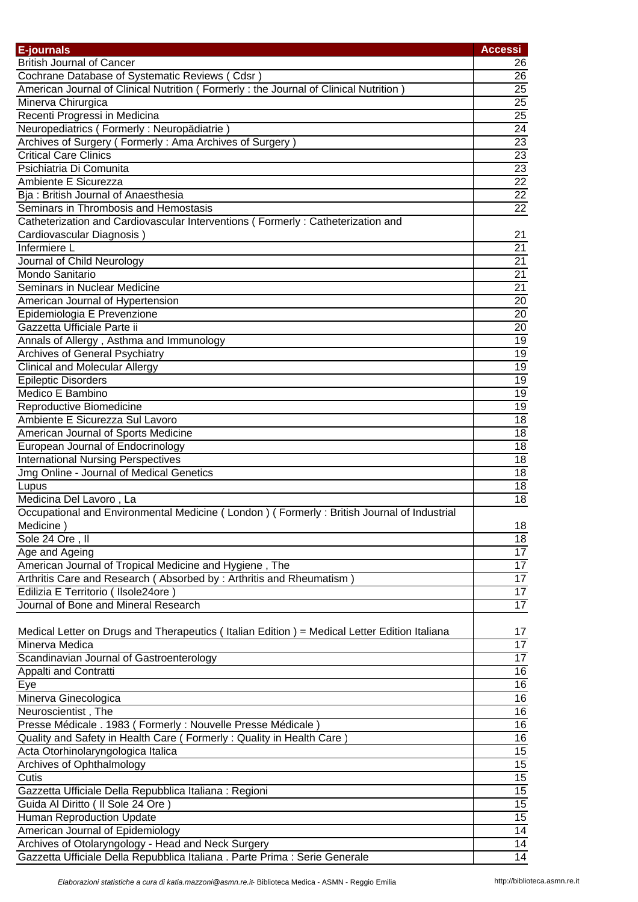| E-journals                                                                                   | <b>Accessi</b>  |
|----------------------------------------------------------------------------------------------|-----------------|
| <b>British Journal of Cancer</b>                                                             | 26              |
| Cochrane Database of Systematic Reviews (Cdsr)                                               | 26              |
| American Journal of Clinical Nutrition (Formerly: the Journal of Clinical Nutrition)         | $\overline{25}$ |
| Minerva Chirurgica                                                                           | $\overline{25}$ |
| Recenti Progressi in Medicina                                                                | $\overline{25}$ |
| Neuropediatrics (Formerly: Neuropädiatrie)                                                   | $\overline{24}$ |
| Archives of Surgery (Formerly: Ama Archives of Surgery)                                      | 23              |
| <b>Critical Care Clinics</b>                                                                 | $\overline{23}$ |
| Psichiatria Di Comunita                                                                      | $\overline{23}$ |
| Ambiente E Sicurezza                                                                         | $\overline{22}$ |
| Bja: British Journal of Anaesthesia                                                          | $\overline{22}$ |
| Seminars in Thrombosis and Hemostasis                                                        | $\overline{22}$ |
| Catheterization and Cardiovascular Interventions (Formerly: Catheterization and              |                 |
| Cardiovascular Diagnosis)                                                                    | 21              |
| Infermiere L                                                                                 | $\overline{21}$ |
| Journal of Child Neurology                                                                   | $\overline{21}$ |
| Mondo Sanitario                                                                              | $\overline{21}$ |
| Seminars in Nuclear Medicine                                                                 | $\overline{21}$ |
|                                                                                              | 20              |
| American Journal of Hypertension                                                             | $\overline{20}$ |
| Epidemiologia E Prevenzione<br>Gazzetta Ufficiale Parte ii                                   | $\overline{20}$ |
|                                                                                              |                 |
| Annals of Allergy, Asthma and Immunology                                                     | 19              |
| <b>Archives of General Psychiatry</b>                                                        | 19              |
| <b>Clinical and Molecular Allergy</b>                                                        | $\overline{19}$ |
| <b>Epileptic Disorders</b>                                                                   | $\overline{19}$ |
| Medico E Bambino                                                                             | 19              |
| Reproductive Biomedicine                                                                     | 19              |
| Ambiente E Sicurezza Sul Lavoro                                                              | 18              |
| American Journal of Sports Medicine                                                          | $\overline{18}$ |
| European Journal of Endocrinology                                                            | $\overline{18}$ |
| <b>International Nursing Perspectives</b>                                                    | 18              |
| Jmg Online - Journal of Medical Genetics                                                     | 18              |
| Lupus                                                                                        | 18              |
| Medicina Del Lavoro, La                                                                      | 18              |
| Occupational and Environmental Medicine (London) (Formerly: British Journal of Industrial    |                 |
| Medicine)                                                                                    | 18              |
| Sole 24 Ore, II                                                                              | $\overline{18}$ |
| Age and Ageing                                                                               | $\overline{17}$ |
| American Journal of Tropical Medicine and Hygiene, The                                       | $\overline{17}$ |
| Arthritis Care and Research (Absorbed by: Arthritis and Rheumatism)                          | $\overline{17}$ |
| Edilizia E Territorio (Ilsole24ore)                                                          | $\overline{17}$ |
| Journal of Bone and Mineral Research                                                         | $\overline{17}$ |
|                                                                                              |                 |
| Medical Letter on Drugs and Therapeutics (Italian Edition) = Medical Letter Edition Italiana | 17              |
| Minerva Medica                                                                               | 17              |
| Scandinavian Journal of Gastroenterology                                                     | $\overline{17}$ |
| Appalti and Contratti                                                                        | 16              |
| Eye                                                                                          | 16              |
| Minerva Ginecologica                                                                         | 16              |
| Neuroscientist, The                                                                          | 16              |
| Presse Médicale . 1983 (Formerly : Nouvelle Presse Médicale)                                 | 16              |
| Quality and Safety in Health Care (Formerly: Quality in Health Care                          | 16              |
| Acta Otorhinolaryngologica Italica                                                           | 15              |
| Archives of Ophthalmology                                                                    | $\overline{15}$ |
| Cutis                                                                                        | $\overline{15}$ |
| Gazzetta Ufficiale Della Repubblica Italiana : Regioni                                       | $\overline{15}$ |
| Guida Al Diritto ( Il Sole 24 Ore )                                                          | $\overline{15}$ |
| Human Reproduction Update                                                                    | $\overline{15}$ |
| American Journal of Epidemiology                                                             | $\overline{14}$ |
| Archives of Otolaryngology - Head and Neck Surgery                                           | $\overline{14}$ |
| Gazzetta Ufficiale Della Repubblica Italiana . Parte Prima : Serie Generale                  | $\overline{14}$ |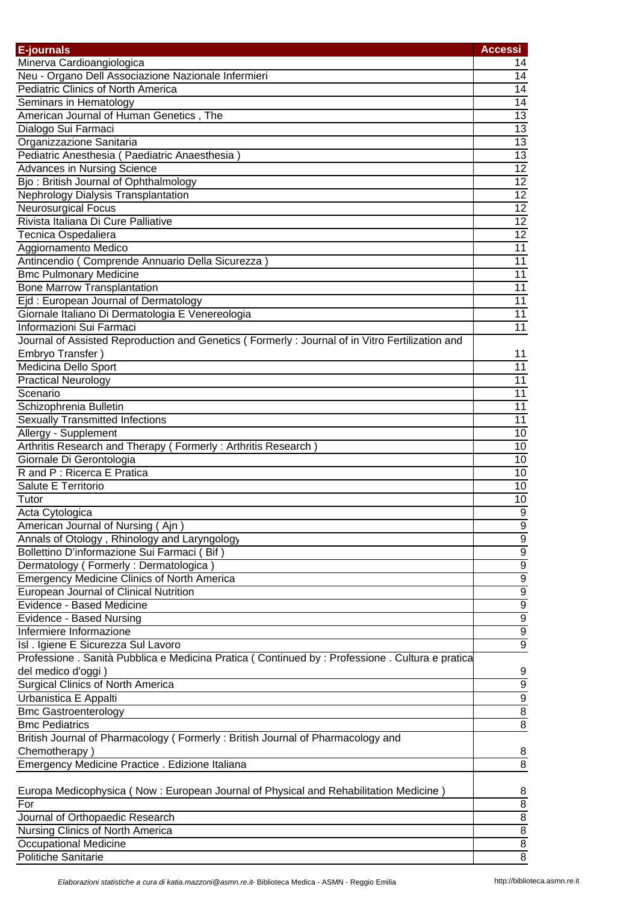| E-journals                                                                                       | <b>Accessi</b>   |
|--------------------------------------------------------------------------------------------------|------------------|
| Minerva Cardioangiologica                                                                        | 14               |
| Neu - Organo Dell Associazione Nazionale Infermieri                                              | 14               |
| <b>Pediatric Clinics of North America</b>                                                        | 14               |
| Seminars in Hematology                                                                           | $\overline{14}$  |
| American Journal of Human Genetics, The                                                          | $\overline{13}$  |
| Dialogo Sui Farmaci                                                                              | $\overline{13}$  |
| Organizzazione Sanitaria                                                                         | 13               |
| Pediatric Anesthesia (Paediatric Anaesthesia)                                                    | 13               |
| <b>Advances in Nursing Science</b>                                                               | 12               |
| Bjo: British Journal of Ophthalmology                                                            | 12               |
| Nephrology Dialysis Transplantation                                                              | $\overline{12}$  |
| <b>Neurosurgical Focus</b>                                                                       | 12               |
| Rivista Italiana Di Cure Palliative                                                              | 12               |
| Tecnica Ospedaliera                                                                              | 12               |
| Aggiornamento Medico                                                                             | $\overline{11}$  |
| Antincendio (Comprende Annuario Della Sicurezza)                                                 | $\overline{11}$  |
|                                                                                                  | 11               |
| <b>Bmc Pulmonary Medicine</b>                                                                    |                  |
| <b>Bone Marrow Transplantation</b>                                                               | $\overline{11}$  |
| Ejd: European Journal of Dermatology                                                             | $\overline{11}$  |
| Giornale Italiano Di Dermatologia E Venereologia                                                 | $\overline{11}$  |
| Informazioni Sui Farmaci                                                                         | $\overline{11}$  |
| Journal of Assisted Reproduction and Genetics (Formerly: Journal of in Vitro Fertilization and   |                  |
| Embryo Transfer)                                                                                 | 11               |
| <b>Medicina Dello Sport</b>                                                                      | 11               |
| <b>Practical Neurology</b>                                                                       | 11               |
| Scenario                                                                                         | $\overline{11}$  |
| Schizophrenia Bulletin                                                                           | $\overline{11}$  |
| <b>Sexually Transmitted Infections</b>                                                           | 11               |
| Allergy - Supplement                                                                             | 10               |
| Arthritis Research and Therapy (Formerly: Arthritis Research)                                    | 10               |
| Giornale Di Gerontologia                                                                         | 10               |
| R and P : Ricerca E Pratica                                                                      | 10               |
| Salute E Territorio                                                                              | 10               |
| Tutor                                                                                            | 10               |
| Acta Cytologica                                                                                  | $\overline{9}$   |
| American Journal of Nursing (Ajn)                                                                | 9                |
| Annals of Otology, Rhinology and Laryngology                                                     | $\overline{9}$   |
| Bollettino D'informazione Sui Farmaci (Bif)                                                      | $\boldsymbol{9}$ |
| Dermatology (Formerly: Dermatologica)                                                            | $\overline{9}$   |
| <b>Emergency Medicine Clinics of North America</b>                                               | $\overline{9}$   |
| European Journal of Clinical Nutrition                                                           | $\overline{9}$   |
| Evidence - Based Medicine                                                                        | $\overline{9}$   |
| Evidence - Based Nursing                                                                         | $\overline{9}$   |
| Infermiere Informazione                                                                          | $\overline{9}$   |
| Isl . Igiene E Sicurezza Sul Lavoro                                                              | $\overline{9}$   |
| Professione . Sanità Pubblica e Medicina Pratica (Continued by : Professione . Cultura e pratica |                  |
| del medico d'oggi)                                                                               | 9                |
| <b>Surgical Clinics of North America</b>                                                         | $\overline{9}$   |
| Urbanistica E Appalti                                                                            | $\overline{9}$   |
| <b>Bmc Gastroenterology</b>                                                                      | $\overline{8}$   |
| <b>Bmc Pediatrics</b>                                                                            | $\overline{8}$   |
| British Journal of Pharmacology (Formerly: British Journal of Pharmacology and                   |                  |
| Chemotherapy)                                                                                    | 8                |
|                                                                                                  |                  |
| Emergency Medicine Practice . Edizione Italiana                                                  | 8                |
|                                                                                                  |                  |
| Europa Medicophysica (Now : European Journal of Physical and Rehabilitation Medicine)            | 8                |
| For                                                                                              | $\overline{8}$   |
| Journal of Orthopaedic Research                                                                  | $\overline{8}$   |
| Nursing Clinics of North America                                                                 | $\overline{8}$   |
| Occupational Medicine                                                                            | $\overline{8}$   |
| Politiche Sanitarie                                                                              | $\overline{8}$   |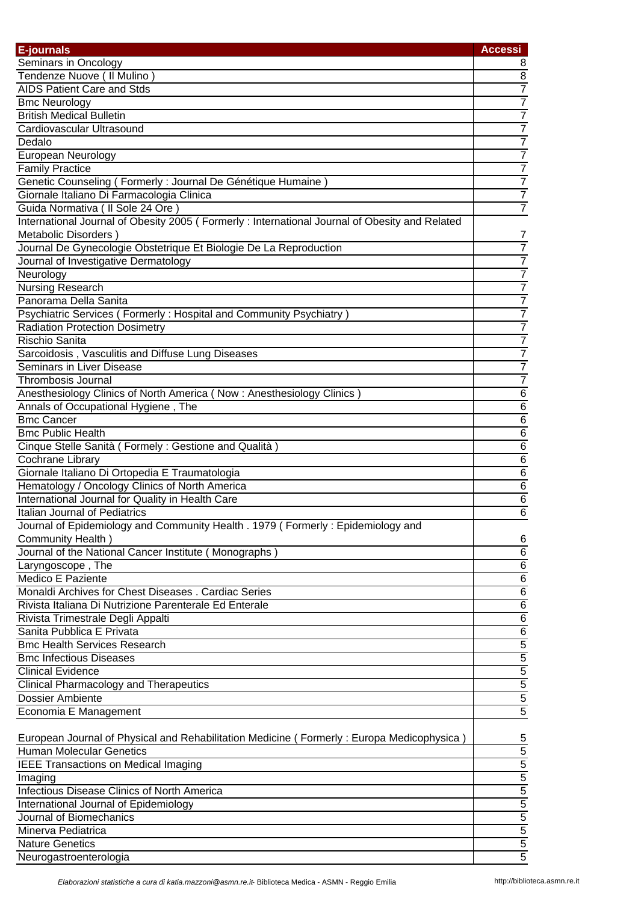| E-journals                                                                                                                        | <b>Accessi</b>                                          |
|-----------------------------------------------------------------------------------------------------------------------------------|---------------------------------------------------------|
| Seminars in Oncology                                                                                                              | 8                                                       |
| Tendenze Nuove ( Il Mulino )                                                                                                      | 8                                                       |
| <b>AIDS Patient Care and Stds</b>                                                                                                 | $\overline{7}$                                          |
| <b>Bmc Neurology</b>                                                                                                              | $\overline{7}$                                          |
| <b>British Medical Bulletin</b>                                                                                                   | $\overline{7}$                                          |
| Cardiovascular Ultrasound                                                                                                         | $\overline{7}$                                          |
| Dedalo                                                                                                                            | $\overline{7}$                                          |
|                                                                                                                                   | $\overline{7}$                                          |
| European Neurology                                                                                                                |                                                         |
| <b>Family Practice</b>                                                                                                            |                                                         |
| Genetic Counseling (Formerly: Journal De Génétique Humaine)                                                                       | $\frac{7}{7}$                                           |
| Giornale Italiano Di Farmacologia Clinica                                                                                         | $\overline{7}$                                          |
| Guida Normativa ( Il Sole 24 Ore<br>International Journal of Obesity 2005 (Formerly: International Journal of Obesity and Related |                                                         |
| Metabolic Disorders)                                                                                                              |                                                         |
|                                                                                                                                   | 7<br>$\overline{7}$                                     |
| Journal De Gynecologie Obstetrique Et Biologie De La Reproduction                                                                 |                                                         |
| Journal of Investigative Dermatology                                                                                              | $\overline{7}$                                          |
| Neurology                                                                                                                         | $\overline{7}$                                          |
| <b>Nursing Research</b>                                                                                                           | $\overline{7}$                                          |
| Panorama Della Sanita                                                                                                             | $\overline{7}$                                          |
| Psychiatric Services (Formerly: Hospital and Community Psychiatry)                                                                | $\overline{7}$                                          |
| <b>Radiation Protection Dosimetry</b>                                                                                             | $\overline{7}$                                          |
| Rischio Sanita                                                                                                                    | $\overline{7}$                                          |
| Sarcoidosis, Vasculitis and Diffuse Lung Diseases                                                                                 | $\overline{7}$                                          |
| Seminars in Liver Disease                                                                                                         | $\overline{7}$                                          |
| <b>Thrombosis Journal</b>                                                                                                         | $\overline{7}$                                          |
| Anesthesiology Clinics of North America (Now: Anesthesiology Clinics)                                                             | $\overline{6}$                                          |
| Annals of Occupational Hygiene, The                                                                                               | $\overline{6}$                                          |
| <b>Bmc Cancer</b>                                                                                                                 | $\overline{6}$                                          |
| <b>Bmc Public Health</b>                                                                                                          | $\overline{6}$                                          |
| Cinque Stelle Sanità (Formely: Gestione and Qualità)                                                                              | $\overline{6}$                                          |
| Cochrane Library                                                                                                                  | $\overline{6}$                                          |
| Giornale Italiano Di Ortopedia E Traumatologia                                                                                    | 6                                                       |
| Hematology / Oncology Clinics of North America                                                                                    | $\overline{6}$                                          |
| International Journal for Quality in Health Care                                                                                  | $\overline{6}$                                          |
| Italian Journal of Pediatrics                                                                                                     | $\overline{6}$                                          |
| Journal of Epidemiology and Community Health . 1979 (Formerly: Epidemiology and                                                   |                                                         |
| Community Health)                                                                                                                 | 6                                                       |
| Journal of the National Cancer Institute (Monographs)                                                                             | $\overline{6}$                                          |
| Laryngoscope, The                                                                                                                 | $\overline{6}$                                          |
| Medico E Paziente                                                                                                                 | $\overline{6}$                                          |
| Monaldi Archives for Chest Diseases . Cardiac Series                                                                              |                                                         |
| Rivista Italiana Di Nutrizione Parenterale Ed Enterale                                                                            | $\frac{6}{6}$ $\frac{6}{5}$ $\frac{6}{5}$ $\frac{6}{5}$ |
| Rivista Trimestrale Degli Appalti                                                                                                 |                                                         |
| Sanita Pubblica E Privata                                                                                                         |                                                         |
| <b>Bmc Health Services Research</b>                                                                                               |                                                         |
| <b>Bmc Infectious Diseases</b>                                                                                                    |                                                         |
| <b>Clinical Evidence</b>                                                                                                          | $\overline{5}$                                          |
| <b>Clinical Pharmacology and Therapeutics</b>                                                                                     | $\overline{5}$                                          |
| <b>Dossier Ambiente</b>                                                                                                           | $\overline{5}$                                          |
| Economia E Management                                                                                                             | $\overline{5}$                                          |
|                                                                                                                                   |                                                         |
| European Journal of Physical and Rehabilitation Medicine (Formerly: Europa Medicophysica)                                         | 5                                                       |
| <b>Human Molecular Genetics</b>                                                                                                   | $\overline{5}$                                          |
| <b>IEEE Transactions on Medical Imaging</b>                                                                                       | $\overline{5}$                                          |
| Imaging                                                                                                                           | $\overline{5}$                                          |
| Infectious Disease Clinics of North America                                                                                       |                                                         |
| International Journal of Epidemiology                                                                                             |                                                         |
| Journal of Biomechanics                                                                                                           | $\frac{5}{5}$ $\frac{5}{5}$ $\frac{5}{5}$               |
| Minerva Pediatrica                                                                                                                |                                                         |
| <b>Nature Genetics</b>                                                                                                            |                                                         |
|                                                                                                                                   | $\overline{5}$                                          |
| Neurogastroenterologia                                                                                                            |                                                         |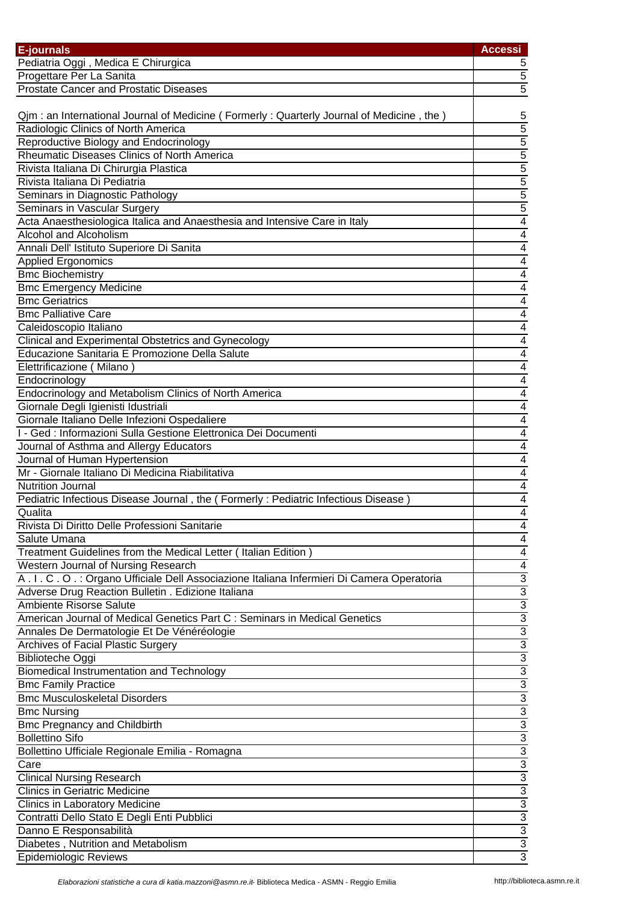| E-journals                                                                                    | <b>Accessi</b>                                                        |
|-----------------------------------------------------------------------------------------------|-----------------------------------------------------------------------|
| Pediatria Oggi, Medica E Chirurgica                                                           | 5                                                                     |
| Progettare Per La Sanita                                                                      | $\overline{5}$                                                        |
| <b>Prostate Cancer and Prostatic Diseases</b>                                                 | $\overline{5}$                                                        |
|                                                                                               |                                                                       |
| Qjm : an International Journal of Medicine ( Formerly : Quarterly Journal of Medicine, the)   | 5                                                                     |
| Radiologic Clinics of North America                                                           | $\overline{5}$                                                        |
|                                                                                               |                                                                       |
| Reproductive Biology and Endocrinology<br>Rheumatic Diseases Clinics of North America         |                                                                       |
|                                                                                               | $\frac{5}{5}$ $\frac{5}{5}$ $\frac{5}{5}$ $\frac{5}{5}$ $\frac{5}{4}$ |
| Rivista Italiana Di Chirurgia Plastica                                                        |                                                                       |
| Rivista Italiana Di Pediatria                                                                 |                                                                       |
| Seminars in Diagnostic Pathology                                                              |                                                                       |
| Seminars in Vascular Surgery                                                                  |                                                                       |
| Acta Anaesthesiologica Italica and Anaesthesia and Intensive Care in Italy                    |                                                                       |
| <b>Alcohol and Alcoholism</b>                                                                 | $\overline{4}$                                                        |
| Annali Dell' Istituto Superiore Di Sanita                                                     | $\overline{\mathbf{4}}$                                               |
| <b>Applied Ergonomics</b>                                                                     | $\overline{\mathbf{4}}$                                               |
| <b>Bmc Biochemistry</b>                                                                       | $\overline{4}$                                                        |
| <b>Bmc Emergency Medicine</b>                                                                 | $\overline{\mathbf{4}}$                                               |
| <b>Bmc Geriatrics</b>                                                                         | 4                                                                     |
| <b>Bmc Palliative Care</b>                                                                    | 4                                                                     |
| Caleidoscopio Italiano                                                                        | $\overline{4}$                                                        |
| Clinical and Experimental Obstetrics and Gynecology                                           | $\overline{4}$                                                        |
| Educazione Sanitaria E Promozione Della Salute                                                | $\overline{4}$                                                        |
| Elettrificazione (Milano)                                                                     | $\overline{4}$                                                        |
| Endocrinology                                                                                 | $\overline{\mathcal{A}}$                                              |
| Endocrinology and Metabolism Clinics of North America                                         | $\overline{4}$                                                        |
| Giornale Degli Igienisti Idustriali                                                           | $\overline{4}$                                                        |
| Giornale Italiano Delle Infezioni Ospedaliere                                                 | $\overline{4}$                                                        |
| I - Ged : Informazioni Sulla Gestione Elettronica Dei Documenti                               | $\overline{4}$                                                        |
| Journal of Asthma and Allergy Educators                                                       | $\overline{4}$                                                        |
| Journal of Human Hypertension                                                                 | $\overline{4}$                                                        |
| Mr - Giornale Italiano Di Medicina Riabilitativa                                              | $\overline{4}$                                                        |
| <b>Nutrition Journal</b>                                                                      | $\overline{4}$                                                        |
| Pediatric Infectious Disease Journal, the (Formerly: Pediatric Infectious Disease             | 4                                                                     |
| Qualita                                                                                       | 4                                                                     |
| Rivista Di Diritto Delle Professioni Sanitarie                                                | 4                                                                     |
| Salute Umana                                                                                  | 4                                                                     |
| Treatment Guidelines from the Medical Letter (Italian Edition)                                | $\overline{\mathcal{A}}$                                              |
| Western Journal of Nursing Research                                                           | $\overline{4}$                                                        |
| A . I . C . O . : Organo Ufficiale Dell Associazione Italiana Infermieri Di Camera Operatoria |                                                                       |
| Adverse Drug Reaction Bulletin . Edizione Italiana                                            |                                                                       |
| <b>Ambiente Risorse Salute</b>                                                                |                                                                       |
| American Journal of Medical Genetics Part C : Seminars in Medical Genetics                    | a a a a a a a a a a a                                                 |
| Annales De Dermatologie Et De Vénéréologie                                                    |                                                                       |
| Archives of Facial Plastic Surgery                                                            |                                                                       |
| <b>Biblioteche Oggi</b>                                                                       |                                                                       |
| Biomedical Instrumentation and Technology                                                     |                                                                       |
| <b>Bmc Family Practice</b>                                                                    |                                                                       |
| <b>Bmc Musculoskeletal Disorders</b>                                                          |                                                                       |
| <b>Bmc Nursing</b>                                                                            |                                                                       |
| <b>Bmc Pregnancy and Childbirth</b>                                                           |                                                                       |
| <b>Bollettino Sifo</b>                                                                        | $\frac{3}{3}$                                                         |
| Bollettino Ufficiale Regionale Emilia - Romagna                                               |                                                                       |
| Care                                                                                          | $\frac{3}{3}$                                                         |
| <b>Clinical Nursing Research</b>                                                              |                                                                       |
| <b>Clinics in Geriatric Medicine</b>                                                          |                                                                       |
| Clinics in Laboratory Medicine                                                                |                                                                       |
| Contratti Dello Stato E Degli Enti Pubblici                                                   |                                                                       |
|                                                                                               |                                                                       |
| Danno E Responsabilità                                                                        | <mark> အ အ အ အ အ </mark>                                              |
| Diabetes, Nutrition and Metabolism                                                            |                                                                       |
| <b>Epidemiologic Reviews</b>                                                                  |                                                                       |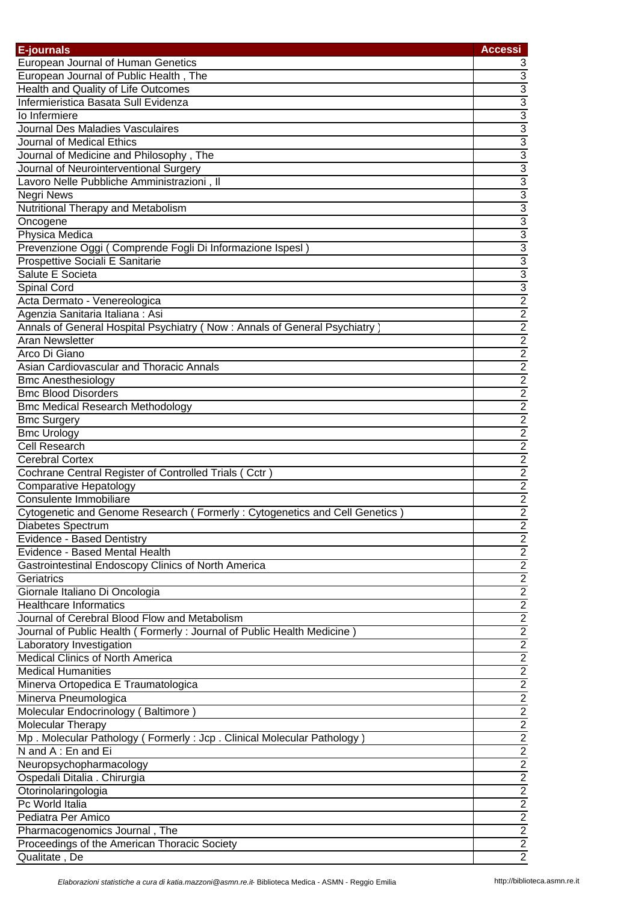| E-journals                                                                 | <b>Accessi</b>                                                        |
|----------------------------------------------------------------------------|-----------------------------------------------------------------------|
| <b>European Journal of Human Genetics</b>                                  | 3                                                                     |
| European Journal of Public Health, The                                     |                                                                       |
| Health and Quality of Life Outcomes                                        |                                                                       |
| Infermieristica Basata Sull Evidenza                                       |                                                                       |
| lo Infermiere                                                              | $\frac{3}{3}$ $\frac{3}{3}$ $\frac{3}{3}$                             |
| <b>Journal Des Maladies Vasculaires</b>                                    |                                                                       |
| Journal of Medical Ethics                                                  |                                                                       |
| Journal of Medicine and Philosophy, The                                    |                                                                       |
| Journal of Neurointerventional Surgery                                     |                                                                       |
| Lavoro Nelle Pubbliche Amministrazioni, Il                                 |                                                                       |
| <b>Negri News</b>                                                          |                                                                       |
| Nutritional Therapy and Metabolism                                         |                                                                       |
| Oncogene                                                                   |                                                                       |
| Physica Medica                                                             |                                                                       |
| Prevenzione Oggi (Comprende Fogli Di Informazione Ispesl)                  |                                                                       |
| Prospettive Sociali E Sanitarie                                            |                                                                       |
| Salute E Societa                                                           |                                                                       |
| Spinal Cord                                                                |                                                                       |
| Acta Dermato - Venereologica                                               |                                                                       |
|                                                                            |                                                                       |
| Agenzia Sanitaria Italiana: Asi                                            |                                                                       |
| Annals of General Hospital Psychiatry (Now: Annals of General Psychiatry)  |                                                                       |
| Aran Newsletter                                                            |                                                                       |
| Arco Di Giano                                                              |                                                                       |
| Asian Cardiovascular and Thoracic Annals                                   |                                                                       |
| <b>Bmc Anesthesiology</b>                                                  |                                                                       |
| <b>Bmc Blood Disorders</b>                                                 |                                                                       |
| <b>Bmc Medical Research Methodology</b>                                    |                                                                       |
| <b>Bmc Surgery</b>                                                         |                                                                       |
| <b>Bmc Urology</b>                                                         |                                                                       |
| <b>Cell Research</b>                                                       |                                                                       |
| <b>Cerebral Cortex</b>                                                     |                                                                       |
| Cochrane Central Register of Controlled Trials (Cctr)                      |                                                                       |
| <b>Comparative Hepatology</b>                                              |                                                                       |
| Consulente Immobiliare                                                     |                                                                       |
| Cytogenetic and Genome Research (Formerly: Cytogenetics and Cell Genetics) |                                                                       |
| Diabetes Spectrum                                                          | $\overline{2}$                                                        |
| Evidence - Based Dentistry                                                 | $\overline{2}$                                                        |
| Evidence - Based Mental Health                                             | $\overline{2}$                                                        |
| Gastrointestinal Endoscopy Clinics of North America                        | $\overline{2}$                                                        |
| Geriatrics                                                                 | $\overline{2}$                                                        |
| Giornale Italiano Di Oncologia                                             |                                                                       |
| <b>Healthcare Informatics</b>                                              | $\frac{2}{2}$                                                         |
| Journal of Cerebral Blood Flow and Metabolism                              |                                                                       |
| Journal of Public Health (Formerly: Journal of Public Health Medicine)     | $\frac{2}{2}$ $\frac{2}{2}$ $\frac{2}{2}$ $\frac{2}{2}$ $\frac{2}{2}$ |
| Laboratory Investigation                                                   |                                                                       |
| <b>Medical Clinics of North America</b>                                    |                                                                       |
| <b>Medical Humanities</b>                                                  |                                                                       |
| Minerva Ortopedica E Traumatologica                                        |                                                                       |
| Minerva Pneumologica                                                       |                                                                       |
| Molecular Endocrinology (Baltimore)                                        |                                                                       |
| Molecular Therapy                                                          |                                                                       |
| Mp. Molecular Pathology (Formerly: Jcp. Clinical Molecular Pathology)      |                                                                       |
| N and A: En and Ei                                                         |                                                                       |
| Neuropsychopharmacology                                                    | $\frac{2}{2}$                                                         |
| Ospedali Ditalia . Chirurgia                                               |                                                                       |
| Otorinolaringologia                                                        | $\frac{2}{2}$                                                         |
| Pc World Italia                                                            |                                                                       |
| Pediatra Per Amico                                                         | $\frac{2}{2}$                                                         |
| Pharmacogenomics Journal, The                                              | $\overline{2}$                                                        |
| Proceedings of the American Thoracic Society                               | $\overline{2}$                                                        |
|                                                                            | $\overline{2}$                                                        |
| Qualitate, De                                                              |                                                                       |